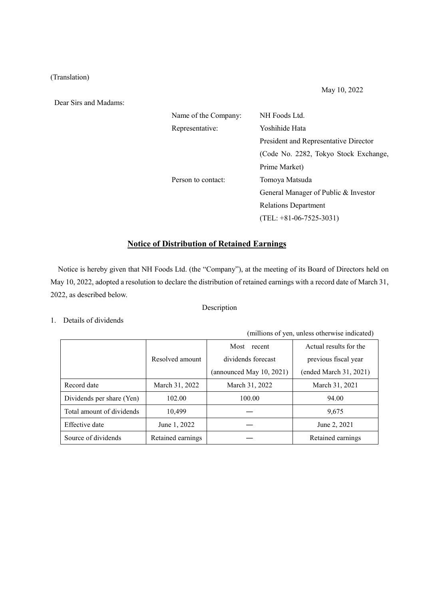## (Translation)

Dear Sirs and Madams:

| Name of the Company: | NH Foods Ltd.                         |  |
|----------------------|---------------------------------------|--|
| Representative:      | Yoshihide Hata                        |  |
|                      | President and Representative Director |  |
|                      | (Code No. 2282, Tokyo Stock Exchange, |  |
|                      | Prime Market)                         |  |
| Person to contact:   | Tomoya Matsuda                        |  |
|                      | General Manager of Public & Investor  |  |
|                      | <b>Relations Department</b>           |  |
|                      | $(TEL: +81-06-7525-3031)$             |  |
|                      |                                       |  |

## **Notice of Distribution of Retained Earnings**

Notice is hereby given that NH Foods Ltd. (the "Company"), at the meeting of its Board of Directors held on May 10, 2022, adopted a resolution to declare the distribution of retained earnings with a record date of March 31, 2022, as described below.

# Description

### 1. Details of dividends

(millions of yen, unless otherwise indicated)

|                           |                   | Most recent                 | Actual results for the |
|---------------------------|-------------------|-----------------------------|------------------------|
|                           | Resolved amount   | dividends forecast          | previous fiscal year   |
|                           |                   | (announced May $10, 2021$ ) | (ended March 31, 2021) |
| Record date               | March 31, 2022    | March 31, 2022              | March 31, 2021         |
| Dividends per share (Yen) | 102.00            | 100.00                      | 94.00                  |
| Total amount of dividends | 10.499            |                             | 9,675                  |
| Effective date            | June 1, 2022      |                             | June 2, 2021           |
| Source of dividends       | Retained earnings |                             | Retained earnings      |

May 10, 2022